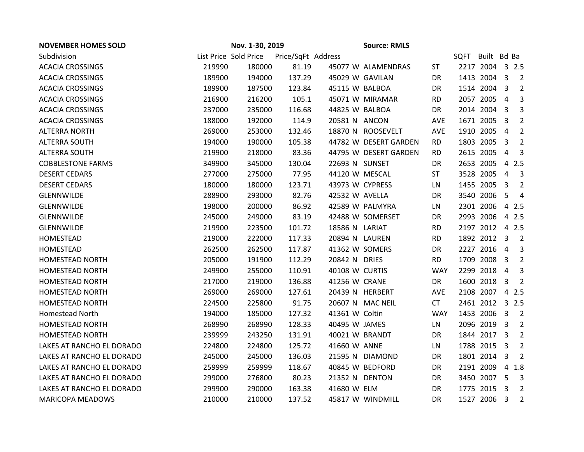| <b>NOVEMBER HOMES SOLD</b> | Nov. 1-30, 2019 |                       |                    |                 |                       |            |      |                 |                         |                |
|----------------------------|-----------------|-----------------------|--------------------|-----------------|-----------------------|------------|------|-----------------|-------------------------|----------------|
| Subdivision                |                 | List Price Sold Price | Price/SqFt Address |                 |                       |            | SQFT | Built Bd Ba     |                         |                |
| <b>ACACIA CROSSINGS</b>    | 219990          | 180000                | 81.19              |                 | 45077 W ALAMENDRAS    | <b>ST</b>  |      | 2217 2004 3 2.5 |                         |                |
| <b>ACACIA CROSSINGS</b>    | 189900          | 194000                | 137.29             | 45029 W GAVILAN |                       | DR         |      | 1413 2004 3     |                         | $\overline{2}$ |
| <b>ACACIA CROSSINGS</b>    | 189900          | 187500                | 123.84             | 45115 W BALBOA  |                       | DR         |      | 1514 2004       | $\overline{3}$          | $\overline{2}$ |
| <b>ACACIA CROSSINGS</b>    | 216900          | 216200                | 105.1              |                 | 45071 W MIRAMAR       | <b>RD</b>  |      | 2057 2005       | 4                       | 3              |
| <b>ACACIA CROSSINGS</b>    | 237000          | 235000                | 116.68             | 44825 W BALBOA  |                       | DR         |      | 2014 2004       | -3                      | 3              |
| <b>ACACIA CROSSINGS</b>    | 188000          | 192000                | 114.9              | 20581 N ANCON   |                       | AVE        |      | 1671 2005       | $\overline{3}$          | $\overline{2}$ |
| <b>ALTERRA NORTH</b>       | 269000          | 253000                | 132.46             |                 | 18870 N ROOSEVELT     | AVE        |      | 1910 2005       | $\overline{4}$          | $\overline{2}$ |
| <b>ALTERRA SOUTH</b>       | 194000          | 190000                | 105.38             |                 | 44782 W DESERT GARDEN | <b>RD</b>  |      | 1803 2005       | -3                      | $\overline{2}$ |
| <b>ALTERRA SOUTH</b>       | 219900          | 218000                | 83.36              |                 | 44795 W DESERT GARDEN | <b>RD</b>  |      | 2615 2005       | $\overline{4}$          | 3              |
| <b>COBBLESTONE FARMS</b>   | 349900          | 345000                | 130.04             | 22693 N SUNSET  |                       | DR         |      | 2653 2005       | $\overline{4}$          | 2.5            |
| <b>DESERT CEDARS</b>       | 277000          | 275000                | 77.95              | 44120 W MESCAL  |                       | <b>ST</b>  |      | 3528 2005       | $\overline{4}$          | 3              |
| <b>DESERT CEDARS</b>       | 180000          | 180000                | 123.71             | 43973 W CYPRESS |                       | LN         |      | 1455 2005       | 3                       | $\overline{2}$ |
| <b>GLENNWILDE</b>          | 288900          | 293000                | 82.76              | 42532 W AVELLA  |                       | <b>DR</b>  |      | 3540 2006       | 5                       | $\overline{4}$ |
| GLENNWILDE                 | 198000          | 200000                | 86.92              |                 | 42589 W PALMYRA       | LN         |      | 2301 2006       |                         | 4 2.5          |
| GLENNWILDE                 | 245000          | 249000                | 83.19              |                 | 42488 W SOMERSET      | DR         |      | 2993 2006       |                         | 4 2.5          |
| GLENNWILDE                 | 219900          | 223500                | 101.72             | 18586 N LARIAT  |                       | <b>RD</b>  |      | 2197 2012 4 2.5 |                         |                |
| HOMESTEAD                  | 219000          | 222000                | 117.33             | 20894 N LAUREN  |                       | <b>RD</b>  |      | 1892 2012       | $\overline{3}$          | $\overline{2}$ |
| HOMESTEAD                  | 262500          | 262500                | 117.87             | 41362 W SOMERS  |                       | DR         |      | 2227 2016       | $\overline{4}$          | 3              |
| <b>HOMESTEAD NORTH</b>     | 205000          | 191900                | 112.29             | 20842 N DRIES   |                       | <b>RD</b>  |      | 1709 2008       | -3                      | $\overline{2}$ |
| <b>HOMESTEAD NORTH</b>     | 249900          | 255000                | 110.91             | 40108 W CURTIS  |                       | <b>WAY</b> |      | 2299 2018       | $\overline{4}$          | 3              |
| <b>HOMESTEAD NORTH</b>     | 217000          | 219000                | 136.88             | 41256 W CRANE   |                       | DR         |      | 1600 2018       | $\overline{3}$          | 2              |
| HOMESTEAD NORTH            | 269000          | 269000                | 127.61             |                 | 20439 N HERBERT       | AVE        |      | 2108 2007       | $\overline{4}$          | 2.5            |
| <b>HOMESTEAD NORTH</b>     | 224500          | 225800                | 91.75              |                 | 20607 N MAC NEIL      | <b>CT</b>  |      | 2461 2012       |                         | 32.5           |
| <b>Homestead North</b>     | 194000          | 185000                | 127.32             | 41361 W Coltin  |                       | <b>WAY</b> |      | 1453 2006       | 3                       | $\overline{2}$ |
| <b>HOMESTEAD NORTH</b>     | 268990          | 268990                | 128.33             | 40495 W JAMES   |                       | LN         |      | 2096 2019       | $\overline{3}$          | $\overline{2}$ |
| <b>HOMESTEAD NORTH</b>     | 239999          | 243250                | 131.91             | 40021 W BRANDT  |                       | <b>DR</b>  |      | 1844 2017       | - 3                     | $\overline{2}$ |
| LAKES AT RANCHO EL DORADO  | 224800          | 224800                | 125.72             | 41660 W ANNE    |                       | LN         |      | 1788 2015       | $\overline{\mathbf{3}}$ | $\overline{2}$ |
| LAKES AT RANCHO EL DORADO  | 245000          | 245000                | 136.03             |                 | 21595 N DIAMOND       | DR.        |      | 1801 2014       | $\overline{3}$          | 2              |
| LAKES AT RANCHO EL DORADO  | 259999          | 259999                | 118.67             |                 | 40845 W BEDFORD       | DR         |      | 2191 2009       | $\overline{4}$          | 1.8            |
| LAKES AT RANCHO EL DORADO  | 299000          | 276800                | 80.23              | 21352 N DENTON  |                       | DR         |      | 3450 2007       | -5                      | 3              |
| LAKES AT RANCHO EL DORADO  | 299900          | 290000                | 163.38             | 41680 W ELM     |                       | <b>DR</b>  |      | 1775 2015       | -3                      | 2              |
| <b>MARICOPA MEADOWS</b>    | 210000          | 210000                | 137.52             |                 | 45817 W WINDMILL      | DR.        |      | 1527 2006       | $\overline{3}$          | $\overline{2}$ |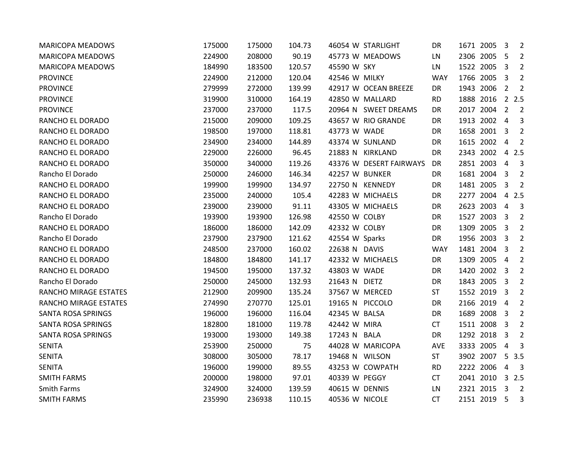| <b>MARICOPA MEADOWS</b>   | 175000 | 175000 | 104.73 |                 | 46054 W STARLIGHT       | DR         | 1671 2005   | - 3                     | $\overline{2}$          |
|---------------------------|--------|--------|--------|-----------------|-------------------------|------------|-------------|-------------------------|-------------------------|
| <b>MARICOPA MEADOWS</b>   | 224900 | 208000 | 90.19  |                 | 45773 W MEADOWS         | LN         | 2306 2005   | -5                      | $\overline{2}$          |
| <b>MARICOPA MEADOWS</b>   | 184990 | 183500 | 120.57 | 45590 W SKY     |                         | LN         | 1522 2005   | 3                       | $\overline{2}$          |
| <b>PROVINCE</b>           | 224900 | 212000 | 120.04 | 42546 W MILKY   |                         | <b>WAY</b> | 1766 2005   | $\overline{3}$          | $\overline{2}$          |
| <b>PROVINCE</b>           | 279999 | 272000 | 139.99 |                 | 42917 W OCEAN BREEZE    | DR         | 1943 2006   | $\overline{2}$          | $\overline{2}$          |
| <b>PROVINCE</b>           | 319900 | 310000 | 164.19 |                 | 42850 W MALLARD         | <b>RD</b>  | 1888 2016   |                         | 2.5                     |
| <b>PROVINCE</b>           | 237000 | 237000 | 117.5  |                 | 20964 N SWEET DREAMS    | DR         | 2017 2004   | $\overline{2}$          | $\overline{2}$          |
| RANCHO EL DORADO          | 215000 | 209000 | 109.25 |                 | 43657 W RIO GRANDE      | DR         | 1913 2002   | $\overline{4}$          | 3                       |
| RANCHO EL DORADO          | 198500 | 197000 | 118.81 | 43773 W WADE    |                         | DR         | 1658 2001   | 3                       | $\overline{2}$          |
| RANCHO EL DORADO          | 234900 | 234000 | 144.89 |                 | 43374 W SUNLAND         | DR         | 1615 2002   | 4                       | 2                       |
| RANCHO EL DORADO          | 229000 | 226000 | 96.45  |                 | 21883 N KIRKLAND        | DR         | 2343 2002   |                         | 4 2.5                   |
| RANCHO EL DORADO          | 350000 | 340000 | 119.26 |                 | 43376 W DESERT FAIRWAYS | DR.        | 2851 2003   | 4                       | 3                       |
| Rancho El Dorado          | 250000 | 246000 | 146.34 | 42257 W BUNKER  |                         | DR         | 1681 2004 3 |                         | $\overline{2}$          |
| RANCHO EL DORADO          | 199900 | 199900 | 134.97 |                 | 22750 N KENNEDY         | DR         | 1481 2005   | $\overline{3}$          | $\overline{2}$          |
| RANCHO EL DORADO          | 235000 | 240000 | 105.4  |                 | 42283 W MICHAELS        | DR         | 2277 2004   | $\overline{4}$          | 2.5                     |
| RANCHO EL DORADO          | 239000 | 239000 | 91.11  |                 | 43305 W MICHAELS        | DR         | 2623 2003   | $\overline{4}$          | 3                       |
| Rancho El Dorado          | 193900 | 193900 | 126.98 | 42550 W COLBY   |                         | DR         | 1527 2003   | - 3                     | $\overline{2}$          |
| RANCHO EL DORADO          | 186000 | 186000 | 142.09 | 42332 W COLBY   |                         | DR         | 1309 2005   | $\overline{3}$          | $\overline{2}$          |
| Rancho El Dorado          | 237900 | 237900 | 121.62 | 42554 W Sparks  |                         | DR         | 1956 2003   | $\overline{3}$          | $\overline{2}$          |
| RANCHO EL DORADO          | 248500 | 237000 | 160.02 | 22638 N DAVIS   |                         | <b>WAY</b> | 1481 2004   | -3                      | $\overline{2}$          |
| RANCHO EL DORADO          | 184800 | 184800 | 141.17 |                 | 42332 W MICHAELS        | DR         | 1309 2005   | 4                       | $\overline{2}$          |
| RANCHO EL DORADO          | 194500 | 195000 | 137.32 | 43803 W WADE    |                         | DR         | 1420 2002   | $\overline{\mathbf{3}}$ | $\overline{2}$          |
| Rancho El Dorado          | 250000 | 245000 | 132.93 | 21643 N DIETZ   |                         | DR         | 1843 2005   | -3                      | $\overline{2}$          |
| RANCHO MIRAGE ESTATES     | 212900 | 209900 | 135.24 | 37567 W MERCED  |                         | <b>ST</b>  | 1552 2019   | 3                       | $\overline{2}$          |
| RANCHO MIRAGE ESTATES     | 274990 | 270770 | 125.01 | 19165 N PICCOLO |                         | DR         | 2166 2019   | 4                       | 2                       |
| <b>SANTA ROSA SPRINGS</b> | 196000 | 196000 | 116.04 | 42345 W BALSA   |                         | DR         | 1689 2008   | 3                       | $\overline{2}$          |
| <b>SANTA ROSA SPRINGS</b> | 182800 | 181000 | 119.78 | 42442 W MIRA    |                         | <b>CT</b>  | 1511 2008   | -3                      | $\overline{2}$          |
| SANTA ROSA SPRINGS        | 193000 | 193000 | 149.38 | 17243 N BALA    |                         | DR         | 1292 2018   | -3                      | $\overline{2}$          |
| <b>SENITA</b>             | 253900 | 250000 | 75     |                 | 44028 W MARICOPA        | AVE        | 3333 2005   | 4                       | 3                       |
| <b>SENITA</b>             | 308000 | 305000 | 78.17  | 19468 N WILSON  |                         | <b>ST</b>  | 3902 2007   | 5                       | 3.5                     |
| <b>SENITA</b>             | 196000 | 199000 | 89.55  |                 | 43253 W COWPATH         | <b>RD</b>  | 2222 2006   | $\overline{4}$          | $\overline{\mathbf{3}}$ |
| <b>SMITH FARMS</b>        | 200000 | 198000 | 97.01  | 40339 W PEGGY   |                         | <b>CT</b>  | 2041 2010   |                         | 32.5                    |
| <b>Smith Farms</b>        | 324900 | 324000 | 139.59 | 40615 W DENNIS  |                         | LN         | 2321 2015   | 3                       | $\overline{2}$          |
| <b>SMITH FARMS</b>        | 235990 | 236938 | 110.15 | 40536 W NICOLE  |                         | <b>CT</b>  | 2151 2019   | 5                       | 3                       |